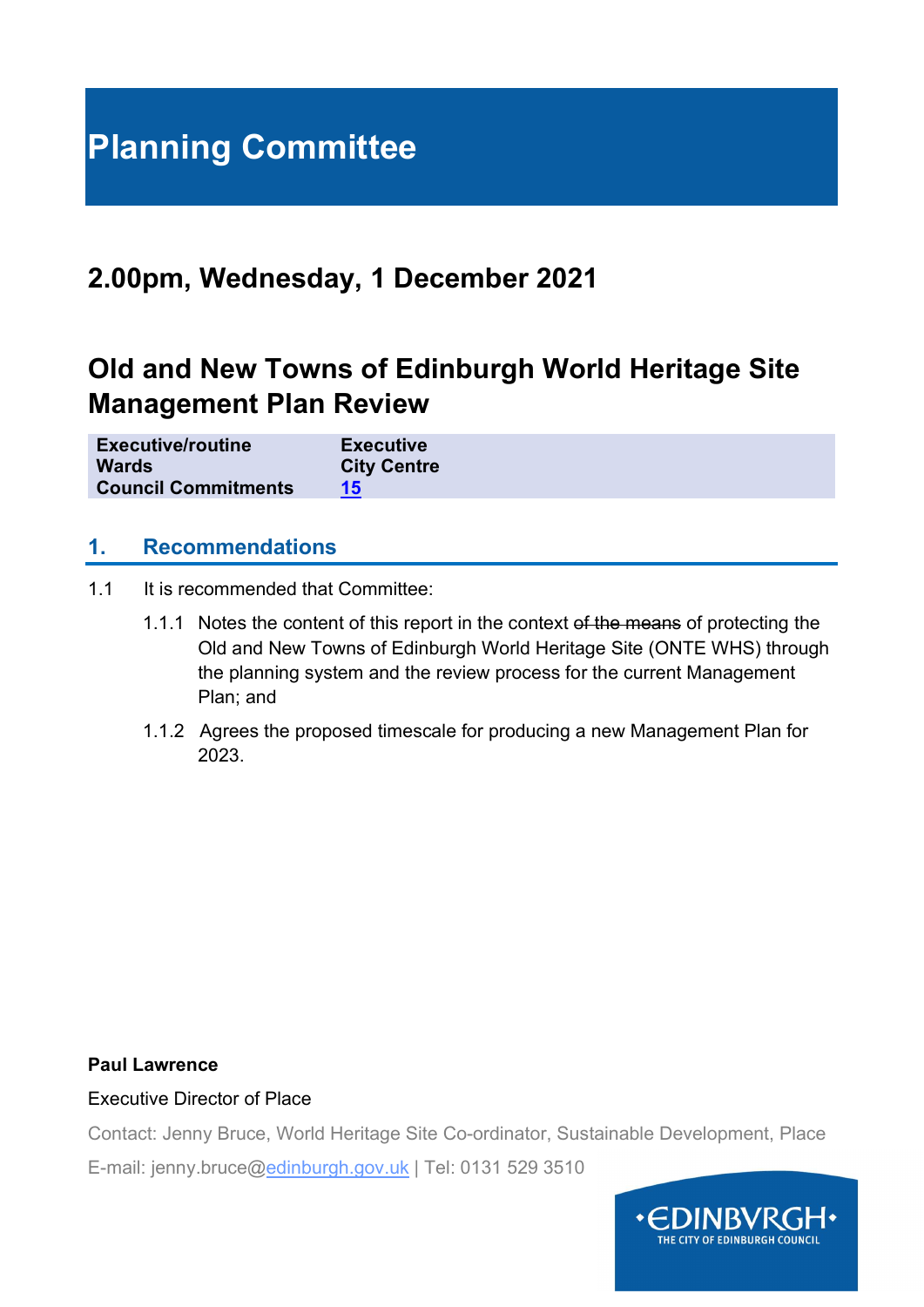# Planning Committee

# 2.00pm, Wednesday, 1 December 2021

# Old and New Towns of Edinburgh World Heritage Site Management Plan Review

| <b>Executive/routine</b><br><b>Executive</b><br><b>City Centre</b><br><b>Wards</b><br><b>Council Commitments</b> |  |
|------------------------------------------------------------------------------------------------------------------|--|
|------------------------------------------------------------------------------------------------------------------|--|

#### 1. Recommendations

- 1.1 It is recommended that Committee:
	- 1.1.1 Notes the content of this report in the context of the means of protecting the Old and New Towns of Edinburgh World Heritage Site (ONTE WHS) through the planning system and the review process for the current Management Plan; and
	- 1.1.2 Agrees the proposed timescale for producing a new Management Plan for 2023.

#### Paul Lawrence

#### Executive Director of Place

Contact: Jenny Bruce, World Heritage Site Co-ordinator, Sustainable Development, Place

E-mail: jenny.bruce@edinburgh.gov.uk | Tel: 0131 529 3510

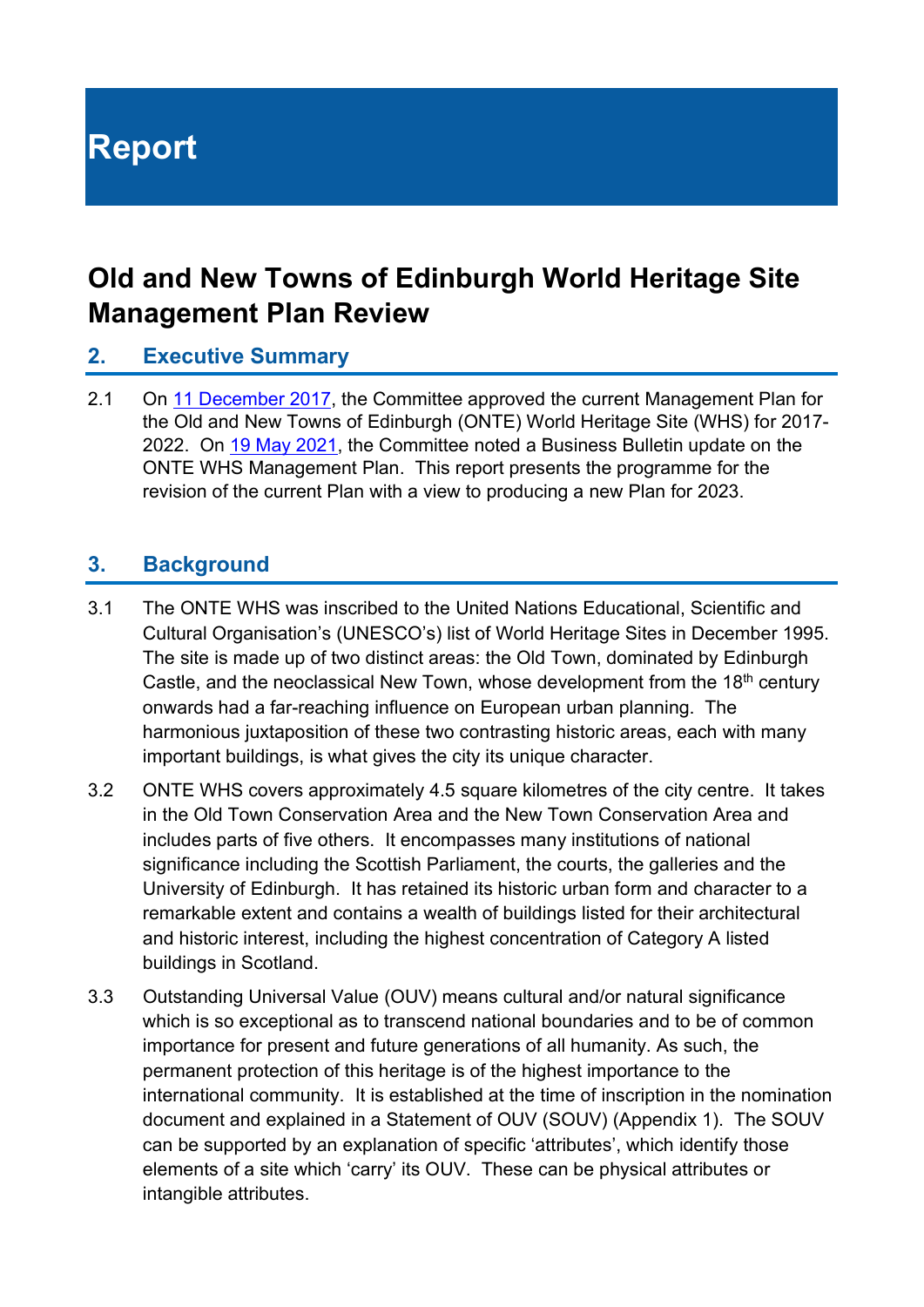# Report

# Old and New Towns of Edinburgh World Heritage Site Management Plan Review

### 2. Executive Summary

2.1 On 11 December 2017, the Committee approved the current Management Plan for the Old and New Towns of Edinburgh (ONTE) World Heritage Site (WHS) for 2017- 2022. On 19 May 2021, the Committee noted a Business Bulletin update on the ONTE WHS Management Plan. This report presents the programme for the revision of the current Plan with a view to producing a new Plan for 2023.

## 3. Background

- 3.1 The ONTE WHS was inscribed to the United Nations Educational, Scientific and Cultural Organisation's (UNESCO's) list of World Heritage Sites in December 1995. The site is made up of two distinct areas: the Old Town, dominated by Edinburgh Castle, and the neoclassical New Town, whose development from the 18<sup>th</sup> century onwards had a far-reaching influence on European urban planning. The harmonious juxtaposition of these two contrasting historic areas, each with many important buildings, is what gives the city its unique character.
- 3.2 ONTE WHS covers approximately 4.5 square kilometres of the city centre. It takes in the Old Town Conservation Area and the New Town Conservation Area and includes parts of five others. It encompasses many institutions of national significance including the Scottish Parliament, the courts, the galleries and the University of Edinburgh. It has retained its historic urban form and character to a remarkable extent and contains a wealth of buildings listed for their architectural and historic interest, including the highest concentration of Category A listed buildings in Scotland.
- 3.3 Outstanding Universal Value (OUV) means cultural and/or natural significance which is so exceptional as to transcend national boundaries and to be of common importance for present and future generations of all humanity. As such, the permanent protection of this heritage is of the highest importance to the international community. It is established at the time of inscription in the nomination document and explained in a Statement of OUV (SOUV) (Appendix 1). The SOUV can be supported by an explanation of specific 'attributes', which identify those elements of a site which 'carry' its OUV. These can be physical attributes or intangible attributes.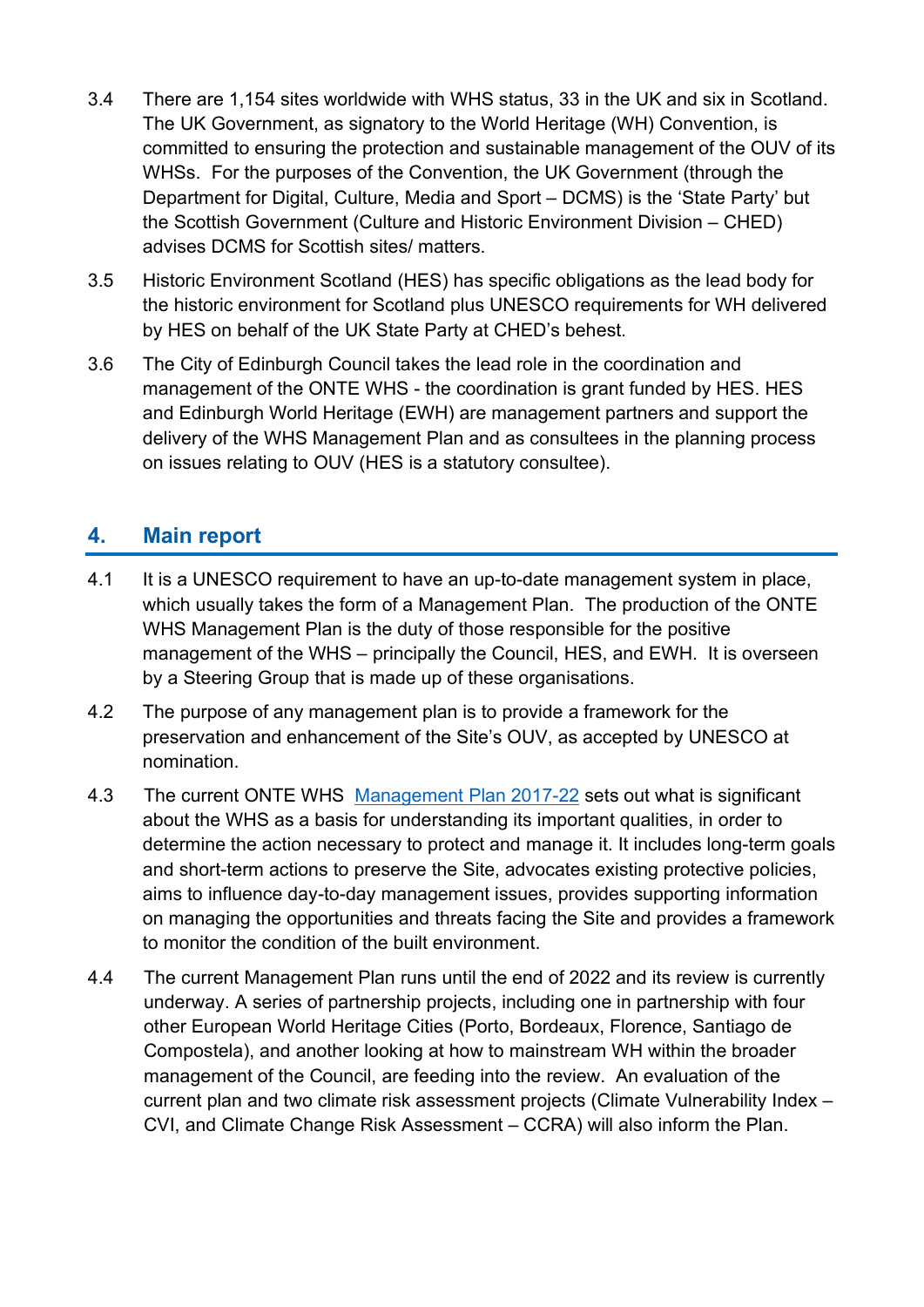- 3.4 There are 1,154 sites worldwide with WHS status, 33 in the UK and six in Scotland. The UK Government, as signatory to the World Heritage (WH) Convention, is committed to ensuring the protection and sustainable management of the OUV of its WHSs. For the purposes of the Convention, the UK Government (through the Department for Digital, Culture, Media and Sport – DCMS) is the 'State Party' but the Scottish Government (Culture and Historic Environment Division – CHED) advises DCMS for Scottish sites/ matters.
- 3.5 Historic Environment Scotland (HES) has specific obligations as the lead body for the historic environment for Scotland plus UNESCO requirements for WH delivered by HES on behalf of the UK State Party at CHED's behest.
- 3.6 The City of Edinburgh Council takes the lead role in the coordination and management of the ONTE WHS - the coordination is grant funded by HES. HES and Edinburgh World Heritage (EWH) are management partners and support the delivery of the WHS Management Plan and as consultees in the planning process on issues relating to OUV (HES is a statutory consultee).

# 4. Main report

- 4.1 It is a UNESCO requirement to have an up-to-date management system in place, which usually takes the form of a Management Plan. The production of the ONTE WHS Management Plan is the duty of those responsible for the positive management of the WHS – principally the Council, HES, and EWH. It is overseen by a Steering Group that is made up of these organisations.
- 4.2 The purpose of any management plan is to provide a framework for the preservation and enhancement of the Site's OUV, as accepted by UNESCO at nomination.
- 4.3 The current ONTE WHS Management Plan 2017-22 sets out what is significant about the WHS as a basis for understanding its important qualities, in order to determine the action necessary to protect and manage it. It includes long-term goals and short-term actions to preserve the Site, advocates existing protective policies, aims to influence day-to-day management issues, provides supporting information on managing the opportunities and threats facing the Site and provides a framework to monitor the condition of the built environment.
- 4.4 The current Management Plan runs until the end of 2022 and its review is currently underway. A series of partnership projects, including one in partnership with four other European World Heritage Cities (Porto, Bordeaux, Florence, Santiago de Compostela), and another looking at how to mainstream WH within the broader management of the Council, are feeding into the review. An evaluation of the current plan and two climate risk assessment projects (Climate Vulnerability Index – CVI, and Climate Change Risk Assessment – CCRA) will also inform the Plan.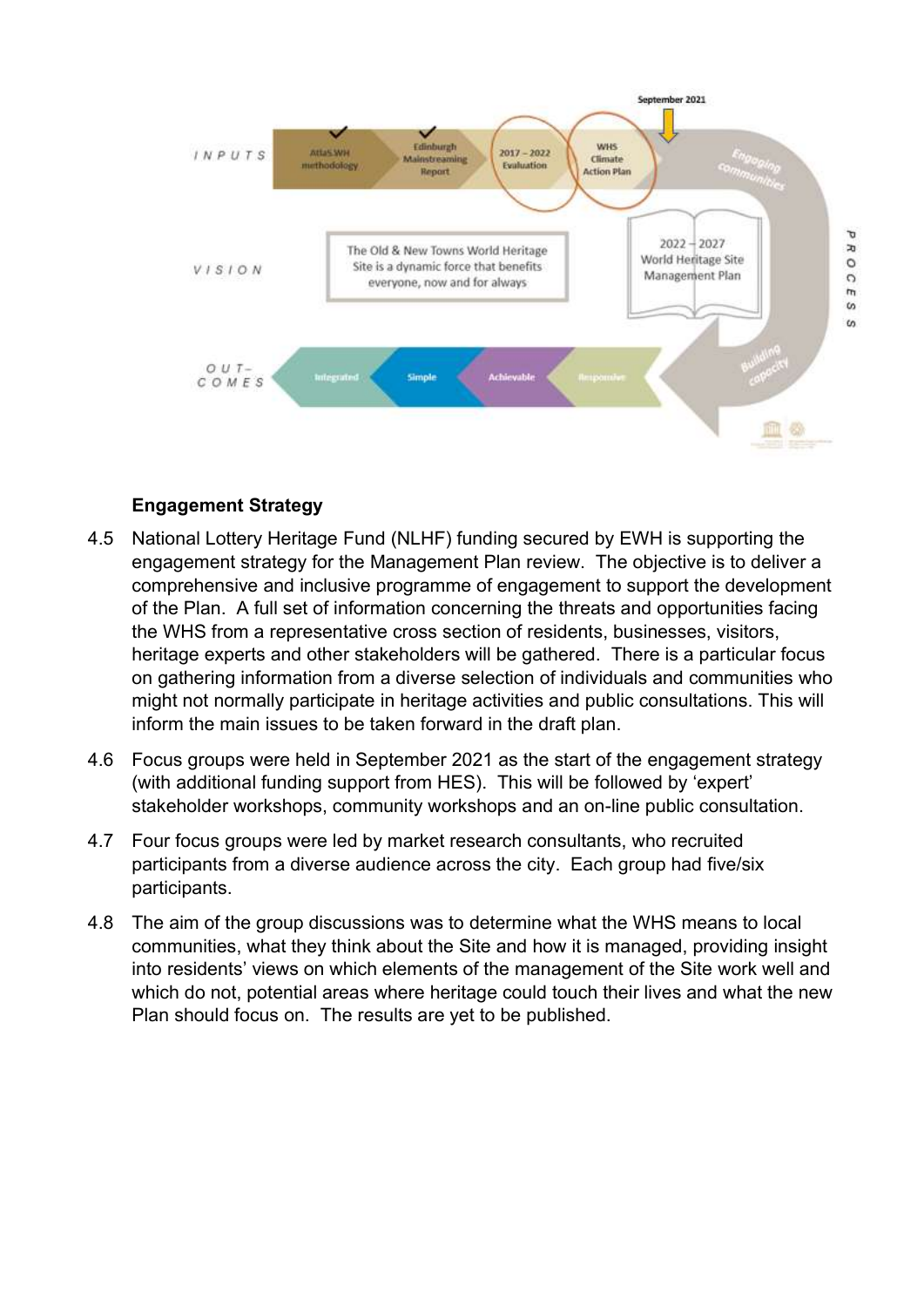

#### Engagement Strategy

- 4.5 National Lottery Heritage Fund (NLHF) funding secured by EWH is supporting the engagement strategy for the Management Plan review. The objective is to deliver a comprehensive and inclusive programme of engagement to support the development of the Plan. A full set of information concerning the threats and opportunities facing the WHS from a representative cross section of residents, businesses, visitors, heritage experts and other stakeholders will be gathered. There is a particular focus on gathering information from a diverse selection of individuals and communities who might not normally participate in heritage activities and public consultations. This will inform the main issues to be taken forward in the draft plan.
- 4.6 Focus groups were held in September 2021 as the start of the engagement strategy (with additional funding support from HES). This will be followed by 'expert' stakeholder workshops, community workshops and an on-line public consultation.
- 4.7 Four focus groups were led by market research consultants, who recruited participants from a diverse audience across the city. Each group had five/six participants.
- 4.8 The aim of the group discussions was to determine what the WHS means to local communities, what they think about the Site and how it is managed, providing insight into residents' views on which elements of the management of the Site work well and which do not, potential areas where heritage could touch their lives and what the new Plan should focus on. The results are yet to be published.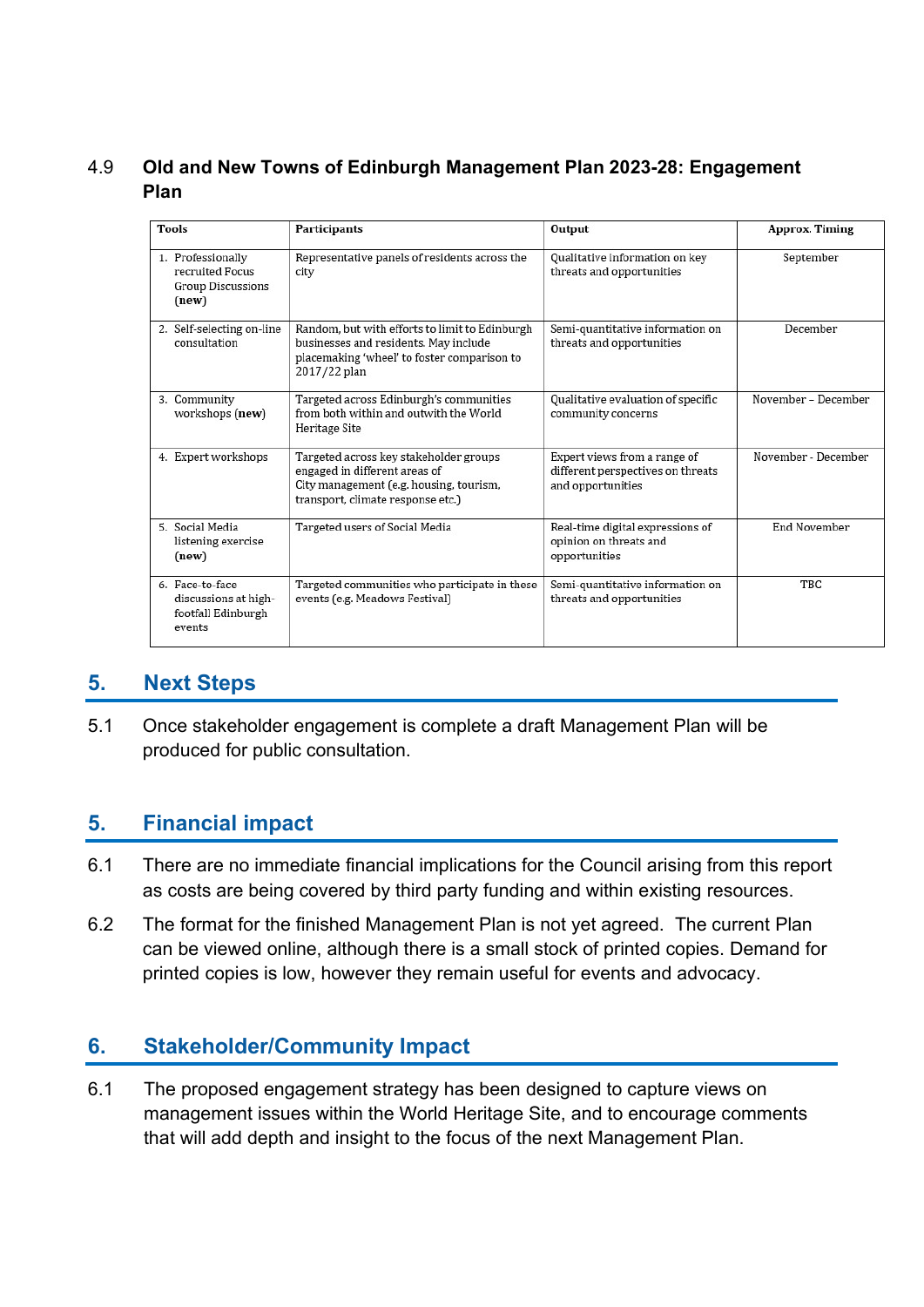### 4.9 Old and New Towns of Edinburgh Management Plan 2023-28: Engagement Plan

| <b>Tools</b>                                                              | <b>Participants</b>                                                                                                                                     | Output                                                                                 | <b>Approx. Timing</b> |
|---------------------------------------------------------------------------|---------------------------------------------------------------------------------------------------------------------------------------------------------|----------------------------------------------------------------------------------------|-----------------------|
| 1. Professionally<br>recruited Focus<br><b>Group Discussions</b><br>(new) | Representative panels of residents across the<br>city                                                                                                   | Qualitative information on key<br>threats and opportunities                            | September             |
| 2. Self-selecting on-line<br>consultation                                 | Random, but with efforts to limit to Edinburgh<br>businesses and residents. May include<br>placemaking 'wheel' to foster comparison to<br>2017/22 plan  | Semi-quantitative information on<br>threats and opportunities                          | December              |
| 3. Community<br>workshops (new)                                           | Targeted across Edinburgh's communities<br>from both within and outwith the World<br>Heritage Site                                                      | Qualitative evaluation of specific<br>community concerns                               | November - December   |
| 4. Expert workshops                                                       | Targeted across key stakeholder groups<br>engaged in different areas of<br>City management (e.g. housing, tourism,<br>transport, climate response etc.) | Expert views from a range of<br>different perspectives on threats<br>and opportunities | November - December   |
| 5. Social Media<br>listening exercise<br>(new)                            | Targeted users of Social Media                                                                                                                          | Real-time digital expressions of<br>opinion on threats and<br>opportunities            | <b>End November</b>   |
| 6. Face-to-face<br>discussions at high-<br>footfall Edinburgh<br>events   | Targeted communities who participate in these<br>events (e.g. Meadows Festival)                                                                         | Semi-quantitative information on<br>threats and opportunities                          | TBC                   |

## 5. Next Steps

5.1 Once stakeholder engagement is complete a draft Management Plan will be produced for public consultation.

## 5. Financial impact

- 6.1 There are no immediate financial implications for the Council arising from this report as costs are being covered by third party funding and within existing resources.
- 6.2 The format for the finished Management Plan is not yet agreed. The current Plan can be viewed online, although there is a small stock of printed copies. Demand for printed copies is low, however they remain useful for events and advocacy.

# 6. Stakeholder/Community Impact

6.1 The proposed engagement strategy has been designed to capture views on management issues within the World Heritage Site, and to encourage comments that will add depth and insight to the focus of the next Management Plan.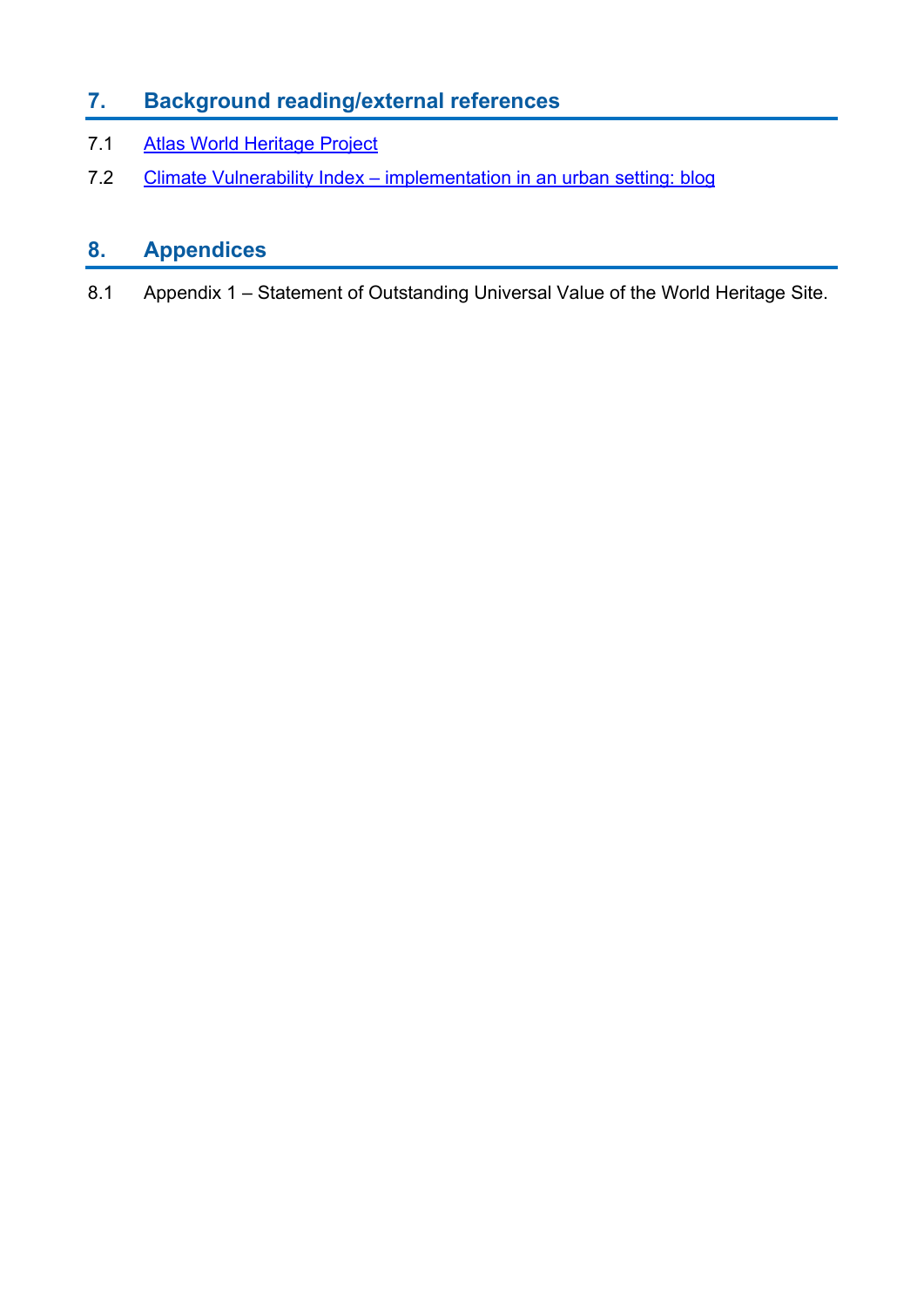# 7. Background reading/external references

- 7.1 Atlas World Heritage Project
- 7.2 Climate Vulnerability Index implementation in an urban setting: blog

# 8. Appendices

8.1 Appendix 1 – Statement of Outstanding Universal Value of the World Heritage Site.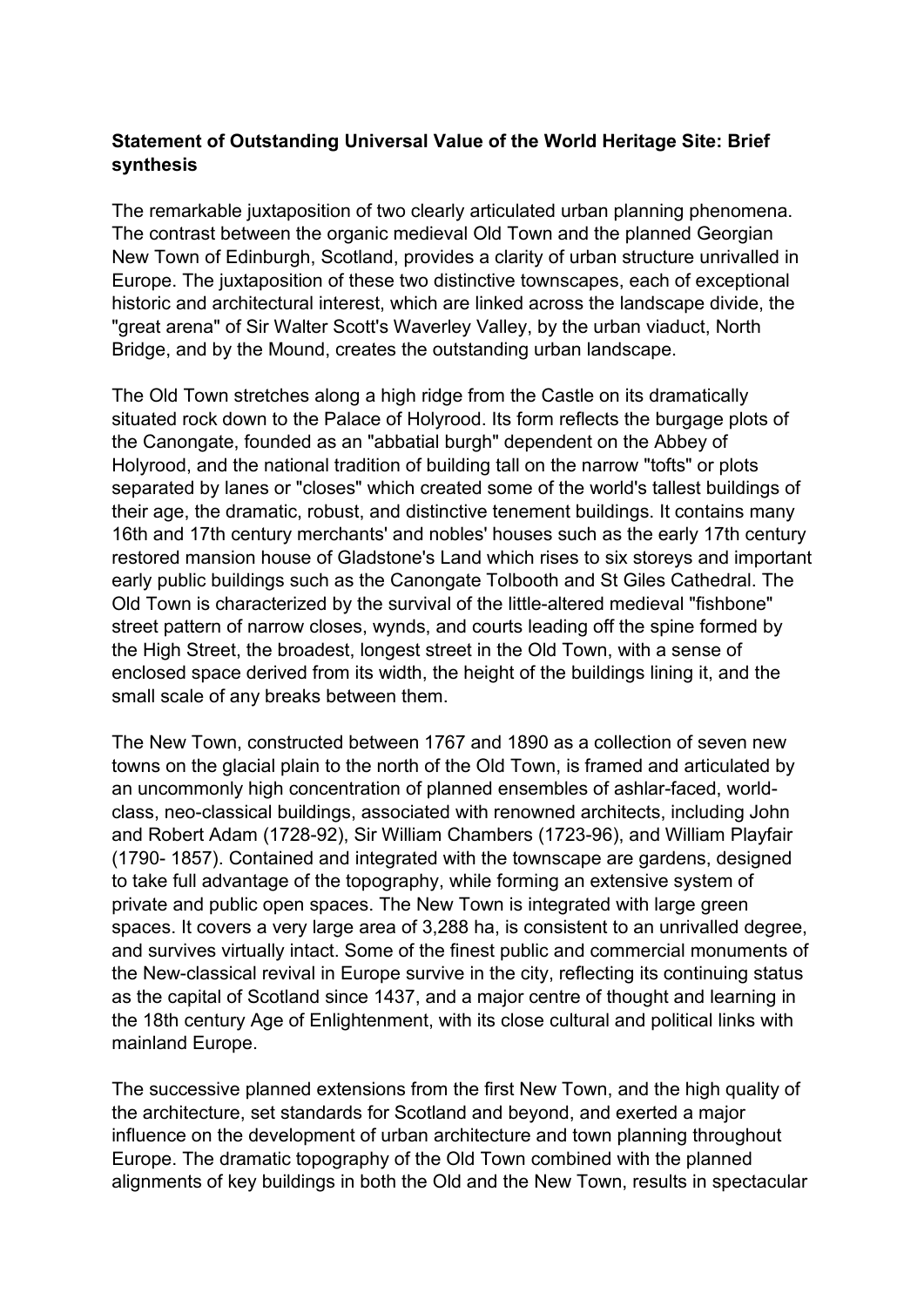#### **Statement of Outstanding Universal Value of the World Heritage Site: Brief synthesis**

The remarkable juxtaposition of two clearly articulated urban planning phenomena. The contrast between the organic medieval Old Town and the planned Georgian New Town of Edinburgh, Scotland, provides a clarity of urban structure unrivalled in Europe. The juxtaposition of these two distinctive townscapes, each of exceptional historic and architectural interest, which are linked across the landscape divide, the "great arena" of Sir Walter Scott's Waverley Valley, by the urban viaduct, North Bridge, and by the Mound, creates the outstanding urban landscape.

The Old Town stretches along a high ridge from the Castle on its dramatically situated rock down to the Palace of Holyrood. Its form reflects the burgage plots of the Canongate, founded as an "abbatial burgh" dependent on the Abbey of Holyrood, and the national tradition of building tall on the narrow "tofts" or plots separated by lanes or "closes" which created some of the world's tallest buildings of their age, the dramatic, robust, and distinctive tenement buildings. It contains many 16th and 17th century merchants' and nobles' houses such as the early 17th century restored mansion house of Gladstone's Land which rises to six storeys and important early public buildings such as the Canongate Tolbooth and St Giles Cathedral. The Old Town is characterized by the survival of the little-altered medieval "fishbone" street pattern of narrow closes, wynds, and courts leading off the spine formed by the High Street, the broadest, longest street in the Old Town, with a sense of enclosed space derived from its width, the height of the buildings lining it, and the small scale of any breaks between them.

The New Town, constructed between 1767 and 1890 as a collection of seven new towns on the glacial plain to the north of the Old Town, is framed and articulated by an uncommonly high concentration of planned ensembles of ashlar-faced, worldclass, neo-classical buildings, associated with renowned architects, including John and Robert Adam (1728-92), Sir William Chambers (1723-96), and William Playfair (1790- 1857). Contained and integrated with the townscape are gardens, designed to take full advantage of the topography, while forming an extensive system of private and public open spaces. The New Town is integrated with large green spaces. It covers a very large area of 3,288 ha, is consistent to an unrivalled degree, and survives virtually intact. Some of the finest public and commercial monuments of the New-classical revival in Europe survive in the city, reflecting its continuing status as the capital of Scotland since 1437, and a major centre of thought and learning in the 18th century Age of Enlightenment, with its close cultural and political links with mainland Europe.

The successive planned extensions from the first New Town, and the high quality of the architecture, set standards for Scotland and beyond, and exerted a major influence on the development of urban architecture and town planning throughout Europe. The dramatic topography of the Old Town combined with the planned alignments of key buildings in both the Old and the New Town, results in spectacular